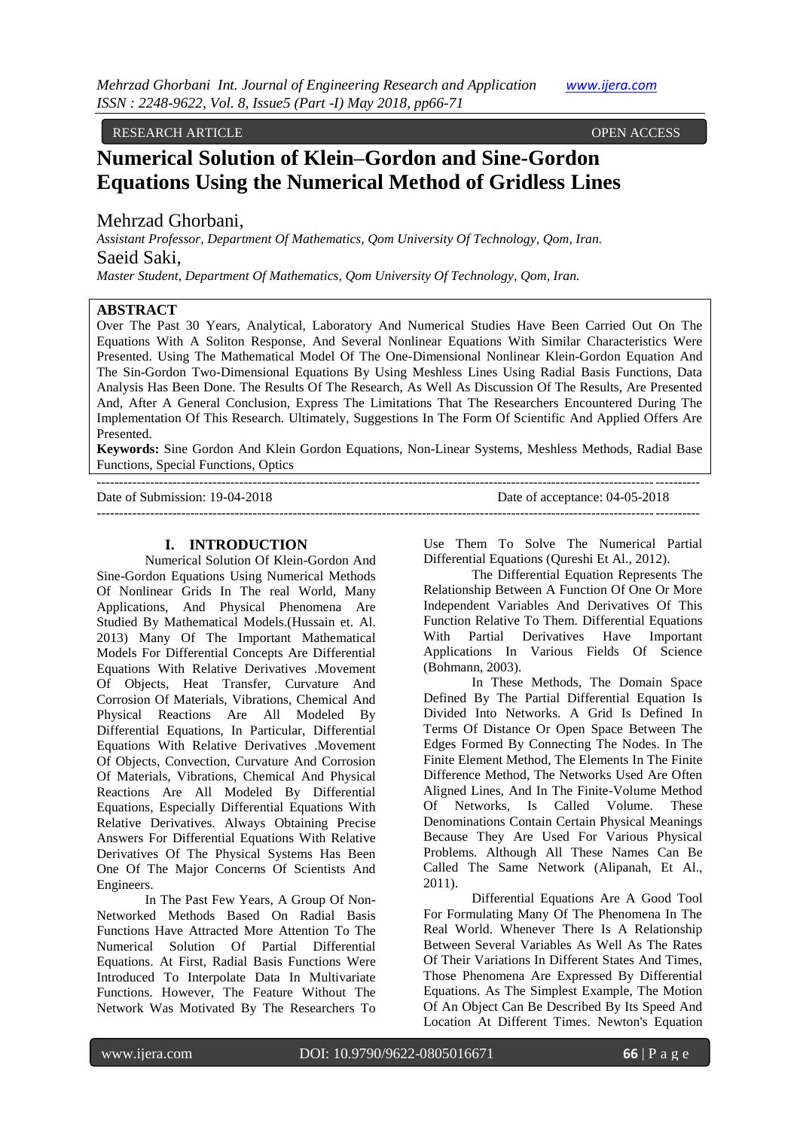# RESEARCH ARTICLE OPEN ACCESS

# **Numerical Solution of Klein–Gordon and Sine-Gordon Equations Using the Numerical Method of Gridless Lines**

# Mehrzad Ghorbani,

*Assistant Professor, Department Of Mathematics, Qom University Of Technology, Qom, Iran.* Saeid Saki,

*Master Student, Department Of Mathematics, Qom University Of Technology, Qom, Iran.*

#### **ABSTRACT**

Over The Past 30 Years, Analytical, Laboratory And Numerical Studies Have Been Carried Out On The Equations With A Soliton Response, And Several Nonlinear Equations With Similar Characteristics Were Presented. Using The Mathematical Model Of The One-Dimensional Nonlinear Klein-Gordon Equation And The Sin-Gordon Two-Dimensional Equations By Using Meshless Lines Using Radial Basis Functions, Data Analysis Has Been Done. The Results Of The Research, As Well As Discussion Of The Results, Are Presented And, After A General Conclusion, Express The Limitations That The Researchers Encountered During The Implementation Of This Research. Ultimately, Suggestions In The Form Of Scientific And Applied Offers Are Presented.

**Keywords:** Sine Gordon And Klein Gordon Equations, Non-Linear Systems, Meshless Methods, Radial Base Functions, Special Functions, Optics

| Date of Submission: 19-04-2018 | Date of acceptance: 04-05-2018 |
|--------------------------------|--------------------------------|
|                                |                                |

#### **I. INTRODUCTION**

Numerical Solution Of Klein-Gordon And Sine-Gordon Equations Using Numerical Methods Of Nonlinear Grids In The real World, Many Applications, And Physical Phenomena Are Studied By Mathematical Models.(Hussain et. Al. 2013) Many Of The Important Mathematical Models For Differential Concepts Are Differential Equations With Relative Derivatives .Movement Of Objects, Heat Transfer, Curvature And Corrosion Of Materials, Vibrations, Chemical And Physical Reactions Are All Modeled By Differential Equations, In Particular, Differential Equations With Relative Derivatives .Movement Of Objects, Convection, Curvature And Corrosion Of Materials, Vibrations, Chemical And Physical Reactions Are All Modeled By Differential Equations, Especially Differential Equations With Relative Derivatives. Always Obtaining Precise Answers For Differential Equations With Relative Derivatives Of The Physical Systems Has Been One Of The Major Concerns Of Scientists And Engineers.

In The Past Few Years, A Group Of Non-Networked Methods Based On Radial Basis Functions Have Attracted More Attention To The Numerical Solution Of Partial Differential Equations. At First, Radial Basis Functions Were Introduced To Interpolate Data In Multivariate Functions. However, The Feature Without The Network Was Motivated By The Researchers To

Use Them To Solve The Numerical Partial Differential Equations (Qureshi Et Al., 2012).

The Differential Equation Represents The Relationship Between A Function Of One Or More Independent Variables And Derivatives Of This Function Relative To Them. Differential Equations With Partial Derivatives Have Important Applications In Various Fields Of Science (Bohmann, 2003).

In These Methods, The Domain Space Defined By The Partial Differential Equation Is Divided Into Networks. A Grid Is Defined In Terms Of Distance Or Open Space Between The Edges Formed By Connecting The Nodes. In The Finite Element Method, The Elements In The Finite Difference Method, The Networks Used Are Often Aligned Lines, And In The Finite-Volume Method Of Networks, Is Called Volume. These Denominations Contain Certain Physical Meanings Because They Are Used For Various Physical Problems. Although All These Names Can Be Called The Same Network (Alipanah, Et Al., 2011).

Differential Equations Are A Good Tool For Formulating Many Of The Phenomena In The Real World. Whenever There Is A Relationship Between Several Variables As Well As The Rates Of Their Variations In Different States And Times, Those Phenomena Are Expressed By Differential Equations. As The Simplest Example, The Motion Of An Object Can Be Described By Its Speed And Location At Different Times. Newton's Equation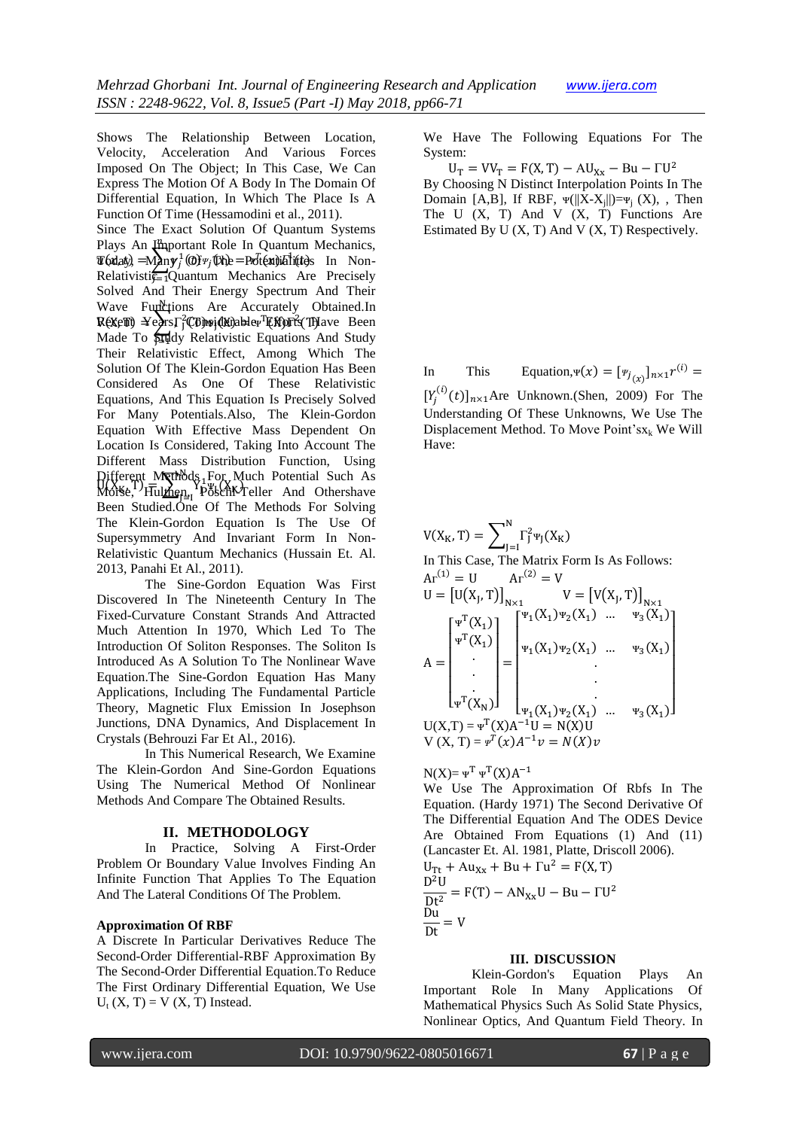Shows The Relationship Between Location, Velocity, Acceleration And Various Forces Imposed On The Object; In This Case, We Can Express The Motion Of A Body In The Domain Of Differential Equation, In Which The Place Is A Function Of Time (Hessamodini et al., 2011).

Since The Exact Solution Of Quantum Systems Plays An *Important Role In Quantum Mechanics*,  $\mathcal{I}(\mathbf{a}|\mathbf{a}\mathbf{b}) = \mathbf{A} \mathbf{a} \mathbf{b} \mathbf{b} \mathbf{b} + \mathbf{b} \mathbf{b}$  (The = Potential integral In Non-Relativisti $\frac{d}{d}$ Quantum Mechanics Are Precisely Solved And Their Energy Spectrum And Their Wave Functions Are Accurately Obtained.In  $R$ ( $\chi$  $\in$   $\mathbb{F}$ )  $\leq$   $\leq$   $\leq$   $\leq$   $\leq$   $\mathbb{F}$ )  $\mathbb{F}$  $\mathbb{F}$   $\mathbb{F}$   $\mathbb{F}$   $\leq$   $\leq$   $\leq$   $\leq$   $\leq$   $\leq$   $\leq$   $\leq$   $\leq$   $\leq$   $\leq$   $\leq$   $\leq$   $\leq$   $\leq$   $\leq$   $\leq$   $\leq$   $\leq$   $\leq$  Made To **Study Relativistic Equations And Study** Their Relativistic Effect, Among Which The Solution Of The Klein-Gordon Equation Has Been Considered As One Of These Relativistic Equations, And This Equation Is Precisely Solved For Many Potentials.Also, The Klein-Gordon Equation With Effective Mass Dependent On Location Is Considered, Taking Into Account The Different Mass Distribution Function, Using  $\text{Pifferent } \text{M}$   $\text{N}$   $\text{R}$   $\text{H}$   $\text{H}$   $\text{H}$   $\text{H}$   $\text{H}$   $\text{H}$   $\text{H}$   $\text{H}$   $\text{H}$   $\text{H}$   $\text{H}$   $\text{H}$   $\text{H}$   $\text{H}$   $\text{H}$   $\text{H}$   $\text{H}$   $\text{H}$   $\text{H}$   $\text{H}$   $\text{H}$   $\text{H}$   $\text{H}$   $\text{H$ Different Methods, For Much Potential Such As<br>Morse, Hulmen, Pöschk-Teller And Othershave Been Studied.One Of The Methods For Solving The Klein-Gordon Equation Is The Use Of Supersymmetry And Invariant Form In Non-Relativistic Quantum Mechanics (Hussain Et. Al. 2013, Panahi Et Al., 2011). j

The Sine-Gordon Equation Was First Discovered In The Nineteenth Century In The Fixed-Curvature Constant Strands And Attracted Much Attention In 1970, Which Led To The Introduction Of Soliton Responses. The Soliton Is Introduced As A Solution To The Nonlinear Wave Equation.The Sine-Gordon Equation Has Many Applications, Including The Fundamental Particle Theory, Magnetic Flux Emission In Josephson Junctions, DNA Dynamics, And Displacement In Crystals (Behrouzi Far Et Al., 2016).

In This Numerical Research, We Examine The Klein-Gordon And Sine-Gordon Equations Using The Numerical Method Of Nonlinear Methods And Compare The Obtained Results.

# **II. METHODOLOGY**

In Practice, Solving A First-Order Problem Or Boundary Value Involves Finding An Infinite Function That Applies To The Equation And The Lateral Conditions Of The Problem.

# **Approximation Of RBF**

A Discrete In Particular Derivatives Reduce The Second-Order Differential-RBF Approximation By The Second-Order Differential Equation.To Reduce The First Ordinary Differential Equation, We Use  $U_t$  (X, T) = V (X, T) Instead.

We Have The Following Equations For The System:

 $U_T = V V_T = F(X, T) - AU_{Xx} - Bu - FU^2$ By Choosing N Distinct Interpolation Points In The Domain [A,B], If RBF,  $\Psi(||X-X_j||) = \Psi_j(X)$ , Then The U  $(X, T)$  And V  $(X, T)$  Functions Are Estimated By U  $(X, T)$  And V  $(X, T)$  Respectively.

In This Equation,  $\Psi(x) = [\Psi_{j}(x)]_{n \times 1} r^{(i)} =$  $[Y_i^{(i)}(t)]_{n\times 1}$ Are Unknown.(Shen, 2009) For The Understanding Of These Unknowns, We Use The Displacement Method. To Move Point's $x_k$  We Will Have:

 $V(X_K, T) = \sum^{N} \Gamma_{J}^{2} \Psi_{J}(X_K)$ J In This Case, The Matrix Form Is As Follows:  $Ar^{(1)} = U$   $Ar^{(2)} =$  $U = [U(X_J, T)]_{N \times 1}$   $V = [V(X_J, T)]_{N}$ A  $\lfloor$ I I I I  $\int_{T} \Psi^T(X_1)$  $\Psi^{\rm T}({\rm X}_1)$ . . .  $\Psi^{\mathrm{T}}(\mathrm{X}_{\mathrm{N}})$ I I I I I  $=$  $\overline{a}$ I I I I I  $\int^{\Psi_1}(X_1)\Psi_2(X_1)$  ...  $\Psi_3(X_1)$  $\Psi_1(X_1)\Psi_2(X_1)$  ...  $\Psi_3(X_1)$ . . .  $\Psi_1(X_1)\Psi_2(X_1)$  ...  $\Psi_3(X_1)$  $\overline{\phantom{a}}$  $\overline{\phantom{a}}$  $\overline{\phantom{a}}$  $\overline{\phantom{a}}$  $\overline{\phantom{a}}$  $\overline{\phantom{a}}$  $U(X,T) = \Psi^{T}(X)A^{-1}U = N(X)U$  $V(X, T) = \psi^{T}(x)A^{-1}\psi = N(X)\psi$ 

 $N(X) = \Psi^{T} \Psi^{T}(X) A^{-1}$ We Use The Approximation Of Rbfs In The Equation. (Hardy 1971) The Second Derivative Of The Differential Equation And The ODES Device Are Obtained From Equations (1) And (11) (Lancaster Et. Al. 1981, Platte, Driscoll 2006).  $U_{\text{Tt}} + Au_{\text{XX}} + Bu + \Gamma u^2 = F(X, T)$  $D^2$  $\frac{d^2U}{dt^2} = F(T) - AN_{\text{xx}}U - Bu - FU^2$ D D

# **III. DISCUSSION**

Klein-Gordon's Equation Plays An Important Role In Many Applications Of Mathematical Physics Such As Solid State Physics, Nonlinear Optics, And Quantum Field Theory. In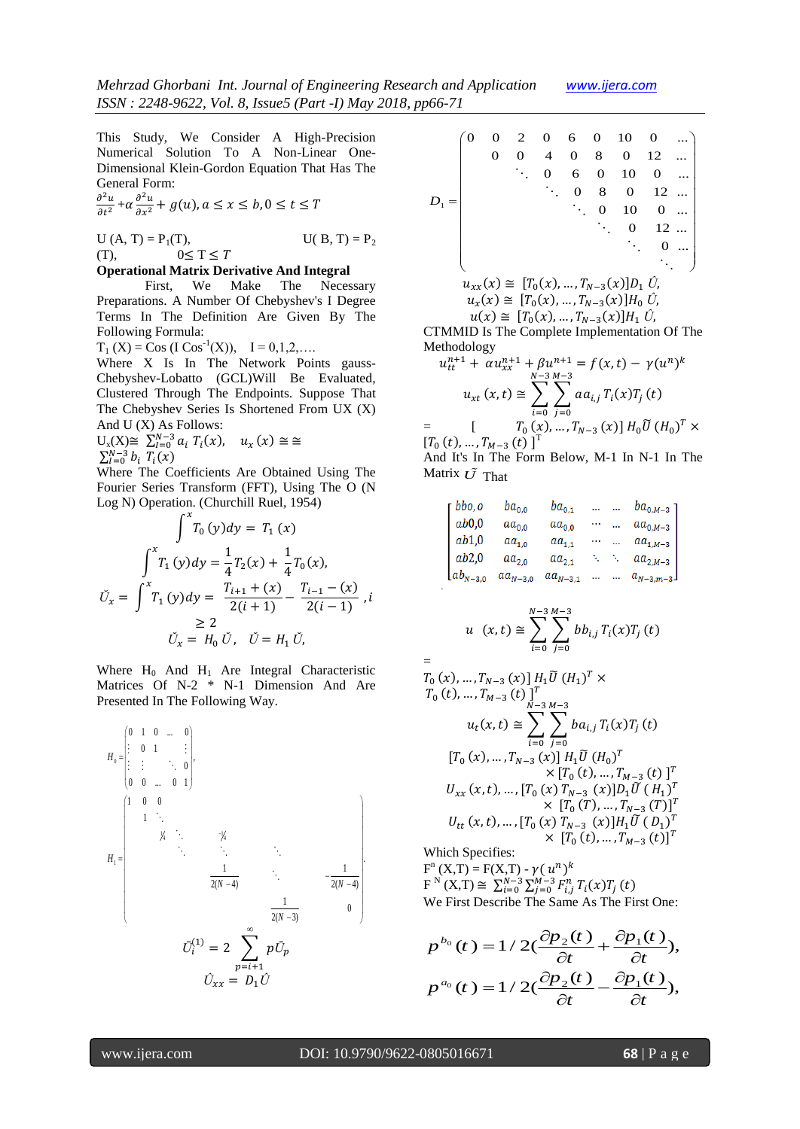This Study, We Consider A High-Precision Numerical Solution To A Non-Linear One-Dimensional Klein-Gordon Equation That Has The General Form:

$$
\frac{\partial^2 u}{\partial t^2} + \alpha \frac{\partial^2 u}{\partial x^2} + g(u), a \le x \le b, 0 \le t \le T
$$

U (A, T) =  $P_1(T)$ , U(B, T) =  $P_2$  $(1)$ ,  $0 \le T \le T$ 

# **Operational Matrix Derivative And Integral**

First, We Make The Necessary Preparations. A Number Of Chebyshev's I Degree Terms In The Definition Are Given By The Following Formula:

 $T_1(X) = \text{Cos } (I \text{ Cos}^{-1}(X)), \quad I = 0, 1, 2, \dots$ 

Where X Is In The Network Points gauss-Chebyshev-Lobatto (GCL)Will Be Evaluated, Clustered Through The Endpoints. Suppose That The Chebyshev Series Is Shortened From UX (X) And U (X) As Follows:

$$
U_x(X) \cong \sum_{i=0}^{N-3} a_i T_i(x), \quad u_x(x) \cong \cong
$$

 $\sum_{i=0}^{N-3} b_i T_i(x)$ 

Where The Coefficients Are Obtained Using The Fourier Series Transform (FFT), Using The O (N Log N) Operation. (Churchill Ruel, 1954)

$$
\int^x T_0(y) dy = T_1(x)
$$
  

$$
\int^x T_1(y) dy = \frac{1}{4} T_2(x) + \frac{1}{4} T_0(x),
$$
  

$$
\tilde{U}_x = \int^x T_1(y) dy = \frac{T_{i+1} + (x)}{2(i+1)} - \frac{T_{i-1} - (x)}{2(i-1)}, i
$$
  

$$
\ge 2
$$
  

$$
\tilde{U}_x = H_0 \tilde{U}, \quad \tilde{U} = H_1 \tilde{U},
$$

Where  $H_0$  And  $H_1$  Are Integral Characteristic Matrices Of N-2 \* N-1 Dimension And Are

Presented In The Following Way.

\n
$$
H_0 = \begin{pmatrix} 0 & 1 & 0 & \dots & 0 \\ \vdots & 0 & 1 & \dots & \vdots \\ \vdots & \vdots & \ddots & 0 & \vdots \\ 0 & 0 & \dots & 0 & 1 \end{pmatrix},
$$
\n
$$
H_1 = \begin{pmatrix} 1 & 0 & 0 & & & & & & \\ 0 & 0 & \dots & 0 & 1 & & & \\ & \ddots & \ddots & \ddots & \ddots & & & \\ & \ddots & \ddots & \ddots & \ddots & & \\ & \ddots & \ddots & \ddots & \ddots & \\ & \ddots & \ddots & \ddots & \ddots & \\ & \ddots & \ddots & \ddots & \ddots & \\ & \ddots & \ddots & \ddots & \ddots & \\ & \ddots & \ddots & \ddots & \ddots & \\ & \ddots & \ddots & \ddots & \ddots & \\ & \ddots & \ddots & \ddots & \ddots & \\ & \ddots & \ddots & \ddots & \ddots & \\ & \ddot{Q}_N - 4) & \ddot{Q}_N - 4) & \ddot{Q}_N - 4 \end{pmatrix}.
$$

|  | 2 | $_{0}$         | 6        | $\mathbf{0}$   | 10                                                 | $\Omega$      |  |
|--|---|----------------|----------|----------------|----------------------------------------------------|---------------|--|
|  |   | $\overline{4}$ |          |                | $0 \quad 8 \quad 0$                                | 12            |  |
|  |   | 0              | 6        | $\overline{0}$ | 10                                                 | $\Omega$      |  |
|  |   |                | $\Omega$ | 8              | $\mathbf{0}$                                       | 12            |  |
|  |   |                |          | $\Omega$       |                                                    | $10 \quad 0$  |  |
|  |   |                |          |                |                                                    | $0 \t 12 \t $ |  |
|  |   |                |          |                |                                                    |               |  |
|  |   |                |          |                |                                                    |               |  |
|  |   |                |          |                | $u_{xx}(x) \cong [T_0(x),,T_{N-3}(x)]D_1 \hat{U},$ |               |  |
|  |   |                |          |                | $u_x(x) \cong [T_0(x),,T_{N-3}(x)]H_0 \hat{U},$    |               |  |
|  |   |                |          |                | $u(x) \cong [T_0(x),,T_{N-3}(x)]H_1 \hat{U},$      |               |  |

CTMMID Is The Complete Implementation Of The Methodology

$$
u_{tt}^{n+1} + \alpha u_{xx}^{n+1} + \beta u_{xx}^{n+1} = f(x, t) - \gamma (u^n)^k
$$
  

$$
u_{xt}(x, t) \approx \sum_{i=0}^{N-3} \sum_{j=0}^{M-3} a a_{i,j} T_i(x) T_j(t)
$$
  

$$
= \left[ T_0(x), \dots, T_{N-3}(x) \right] H_0 \widetilde{U} (H_0)^T \times
$$
  

$$
[T_0(t), \dots, T_{M-3}(t)]^T
$$

And It's In The Form Below, M-1 In N-1 In The Matrix 
$$
\tilde{U}
$$
 That

 $bbo, o$  $ba_{0,0}$  $ba_{0.1}$  ... ...  $ba_{0.M-3}$  $aa_{0,0}$  $ab0.0$  $aa_{0,0}$  ...  $aa_{0,M-3}$  $ab1,0$  $aa_{1,0}$  $aa_{1,1}$  ...  $aa_{1,M-3}$  $aa_{2,0}$  $ab2.0$  $aa_{2,1}$  .  $aa_{2,M-3}$  $[a_{N-3,0}$   $aa_{N-3,0}$   $aa_{N-3,1}$  ... ...  $a_{N-3,m-3}$ .

$$
u(x,t) \cong \sum_{i=0}^{N-3} \sum_{j=0}^{M-3} b b_{i,j} T_i(x) T_j(t)
$$

$$
T_0(x),..., T_{N-3}(x)] H_1 \tilde{U} (H_1)^T \times
$$
  
\n
$$
T_0(t),..., T_{M-3}(t)]^T
$$
  
\n
$$
u_t(x,t) \approx \sum_{i=0}^{N-3} \sum_{j=0}^{M-3} b a_{i,j} T_i(x) T_j(t)
$$
  
\n
$$
[T_0(x),..., T_{N-3}(x)] H_1 \tilde{U} (H_0)^T
$$
  
\n
$$
\times [T_0(t),..., T_{M-3}(t)]^T
$$
  
\n
$$
U_{xx}(x,t),..., [T_0(x) T_{N-3}(x)] D_1 \tilde{U} (H_1)^T
$$
  
\n
$$
\times [T_0(T),..., T_{N-3}(T)]^T
$$
  
\n
$$
U_{tt}(x,t),..., [T_0(x) T_{N-3}(x)] H_1 \tilde{U} (D_1)^T
$$
  
\n
$$
\times [T_0(t),..., T_{M-3}(t)]^T
$$

Which Specifies:  $F^{n}(X,T) = F(X,T) - \gamma (u^{n})^{k}$  $F^{N}(X,T) \cong \sum_{i=0}^{N-3} \sum_{j=0}^{M-3} F_{i,j}^{n} T_{i}(x) T_{j}(t)$ 

We First Describe The Same As The First One:  
\n
$$
p^{b_0}(t) = 1 / 2(\frac{\partial p_2(t)}{\partial t} + \frac{\partial p_1(t)}{\partial t}),
$$
\n
$$
p^{a_0}(t) = 1 / 2(\frac{\partial p_2(t)}{\partial t} - \frac{\partial p_1(t)}{\partial t}),
$$

=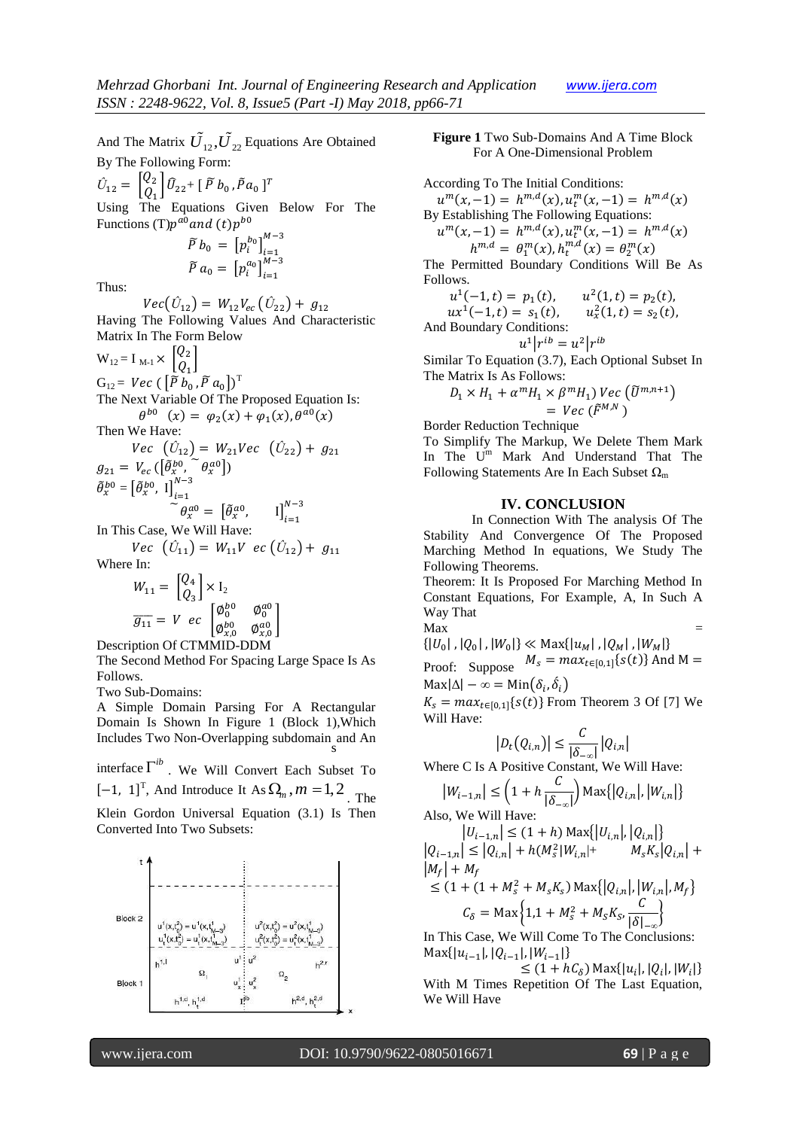And The Matrix  $\tilde{U}_{12}$ ,  $\tilde{U}_{22}$  Equations Are Obtained By The Following Form:

 $\hat{U}_{12} = \begin{bmatrix} Q \\ Q \end{bmatrix}$  $\left[ \begin{matrix} Q_2 \ Q_1 \end{matrix} \right] \widehat{U}_{22} + \left[ \begin{array}{cc} \widetilde{P} & b_0 \end{array} , \widetilde{P} \, a_0 \ \right]^T$ 

Using The Equations Given Below For The Functions (T) $p^{a0}$  and (t) $p^{b}$ 

$$
\widetilde{P} b_0 = [p_i^{b_0}]_{i=1}^{M-3}
$$
  

$$
\widetilde{P} a_0 = [p_i^{a_0}]_{i=1}^{M-3}
$$

Thus:

 $Vec(\hat{U}_{12}) = W_{12}V_{ec}(\hat{U}_{22}) + g_{12}$ Having The Following Values And Characteristic Matrix In The Form Below

$$
W_{12} = I_{M-1} \times \begin{bmatrix} Q_2 \\ Q_1 \end{bmatrix}
$$
  
\n
$$
G_{12} = \text{Vec} \left( \begin{bmatrix} \tilde{P} b_0, \tilde{P} a_0 \end{bmatrix} \right)^T
$$
  
\nThe Next Variable Of The Proposed Equation Is:  
\n
$$
\theta^{b0} \quad (x) = \varphi_2(x) + \varphi_1(x), \theta^{a0}(x)
$$

Then We Have:

$$
Vec \quad (\hat{U}_{12}) = W_{21}Vec \quad (\hat{U}_{22}) + g_{21}
$$
  
\n
$$
g_{21} = V_{ec} \left( [\tilde{\theta}_x^{b0}, \tilde{\theta}_x^{a0}] \right)
$$
  
\n
$$
\tilde{\theta}_x^{b0} = [\tilde{\theta}_x^{b0}, 1]_{i=1}^{N-3}
$$

 $\tilde{\theta}_x^{a0} = \begin{bmatrix} \tilde{\theta}_x^a \end{bmatrix}$ ,  $\prod_{i=1}^{k}$ 

In This Case, We Will Have:  $Vec$  ( $U_{11}$ ) =  $W_{11}V$  ec ( $U_{12}$ ) +

Where In:

$$
W_{11} = \begin{bmatrix} Q_4 \\ Q_3 \end{bmatrix} \times I_2
$$
  
\n
$$
\overline{g_{11}} = V \ e c \begin{bmatrix} \phi_0^{bo} & \phi_0^{ao} \\ \phi_{x,0}^{bo} & \phi_{x,0}^{ao} \end{bmatrix}
$$

Description Of CTMMID-DDM

The Second Method For Spacing Large Space Is As Follows.

Two Sub-Domains:

A Simple Domain Parsing For A Rectangular Domain Is Shown In Figure 1 (Block 1),Which Includes Two Non-Overlapping subdomain s and An

interface  $\Gamma^{ib}$  . We Will Convert Each Subset To  $[-1, 1]^T$ , And Introduce It As  $\Omega_m$ ,  $m = 1, 2$ . The Klein Gordon Universal Equation (3.1) Is Then Converted Into Two Subsets:



**Figure 1** Two Sub-Domains And A Time Block For A One-Dimensional Problem

According To The Initial Conditions:  $u^m(x, -1) = h^{m,d}(x), u_t^m(x, -1) = h^{m,d}(x)$ By Establishing The Following Equations:  $u^m(x, -1) = h^{m,d}(x), u_t^m(x, -1) = h^{m,d}(x)$  $h^{m,d} = \theta_1^m(x), h_t^{m,d}(x) = \theta_2^m(x)$ The Permitted Boundary Conditions Will Be As Follows.  $u^1(-1, t) = p_1(t)$ ,  $l^2(1,t) = p_2(t)$  $ux^1(-1,t) = s_1(t)$ ,  $S_x^2(1,t) = S_2(t)$ And Boundary Conditions:

 $u^1|r^{ib} = u^2|r^i$ 

Similar To Equation (3.7), Each Optional Subset In The Matrix Is As Follows:

$$
D_1 \times H_1 + \alpha^m H_1 \times \beta^m H_1) \, Vec \left( \widetilde{U}^{m,n+1} \right) = \, Vec \left( \widetilde{F}^{M,N} \right)
$$

Border Reduction Technique

To Simplify The Markup, We Delete Them Mark In The U<sup>m</sup> Mark And Understand That The Following Statements Are In Each Subset  $\Omega_{\rm m}$ 

#### **IV. CONCLUSION**

In Connection With The analysis Of The Stability And Convergence Of The Proposed Marching Method In equations, We Study The Following Theorems.

Theorem: It Is Proposed For Marching Method In Constant Equations, For Example, A, In Such A Way That

 $\mathbf{M}\mathbf{a}\mathbf{x}$  =  $\{|U_0|, |Q_0|, |W_0|\} \ll \text{Max}\{|u_M|, |Q_M|, |W_M|\}$ 

Proof: Suppose  $M_s = max_{t \in [0,1]} \{s(t)\}$  A

 $\text{Max}|\Delta| - \infty = \text{Min}(\delta_i, \dot{\delta}_i)$ 

 $K_s = max_{t \in [0,1]} \{s(t)\}$  From Theorem 3 Of [7] We Will Have:

$$
|D_t(Q_{i,n})| \leq \frac{C}{|\delta_{-\infty}|} |Q_{i,n}|
$$

Where C Is A Positive Constant, We Will Have:

$$
|W_{i-1,n}| \le \left(1 + h \frac{C}{|\delta_{-\infty}|}\right) \text{Max}\{|Q_{i,n}|, |W_{i,n}|\}
$$
  
Q. We Will How:

Also, We Will Have:

$$
|U_{i-1,n}| \le (1+h) \operatorname{Max} \{|U_{i,n}|, |Q_{i,n}|\}|Q_{i-1,n}| \le |Q_{i,n}| + h(M_s^2|W_{i,n}| + M_s K_s|Q_{i,n}| +\le (1 + (1 + M_s^2 + M_s K_s) \operatorname{Max} \{|Q_{i,n}|, |W_{i,n}|, M_f\}C_\delta = \operatorname{Max} \{1, 1 + M_s^2 + M_s K_s, \frac{C}{|\delta|_{-\infty}}\}
$$

In This Case, We Will Come To The Conclusions:  $\text{Max}\{|u_{i-1}|, |Q_{i-1}|, |W_{i-1}|\}$ 

 $\leq (1 + hC_{\delta})$  Max $\{|u_i|, |Q_i|, |W_i|\}$ With M Times Repetition Of The Last Equation, We Will Have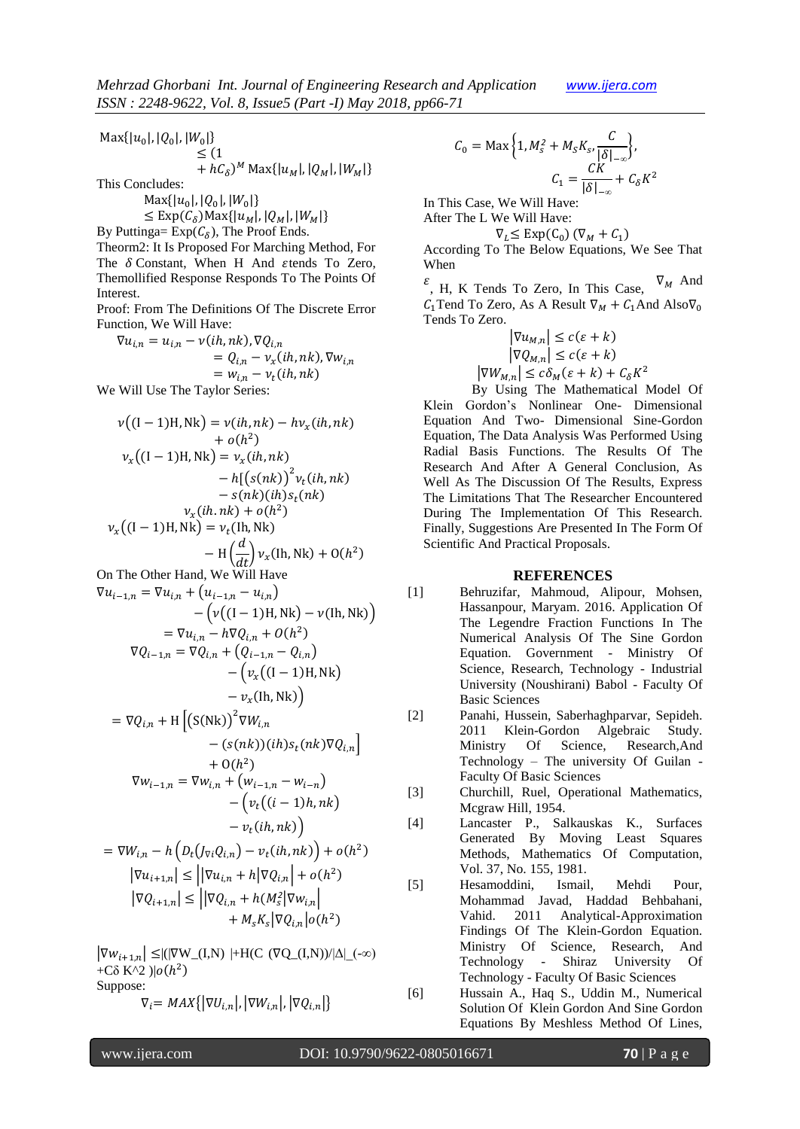$$
Max\{|u_0|, |Q_0|, |W_0|\}\n\leq (1+ hC_\delta)^M Max\{|u_M|, |Q_M|, |W_M|\}\nThis Concludes:
$$

 $\text{Max}\{|u_0|, |Q_0|, |W_0|\}$ 

$$
\leq \text{Exp}(\mathcal{C}_{\delta}) \text{Max}\{|u_M|, |Q_M|, |W_M|\}
$$

By Puttinga=  $Exp(C_{\delta})$ , The Proof Ends.

Theorm2: It Is Proposed For Marching Method, For The  $\delta$  Constant, When H And stends To Zero, Themollified Response Responds To The Points Of **Interest.** 

Proof: From The Definitions Of The Discrete Error Function, We Will Have:

$$
\nabla u_{i,n} = u_{i,n} - \nu(ih,nk), \nabla Q_{i,n}
$$
  
=  $Q_{i,n} - \nu_x(ih,nk), \nabla w_{i,n}$   
=  $w_{i,n} - \nu_t(ih,nk)$ 

We Will Use The Taylor Series:

$$
v((I-1)H,Nk) = v(ih,nk) - hv_x(ih,nk)
$$
  
+ o(h<sup>2</sup>)  
+ o(h<sup>2</sup>)  

$$
v_x((I-1)H,Nk) = v_x(ih,nk)
$$
  
- h[(s(nk))<sup>2</sup> v<sub>t</sub>(ih,nk)  
- s(nk)(ih)s<sub>t</sub>(nk)  

$$
v_x(ih.nk) + o(h2)
$$
  

$$
v_x((I-1)H,Nk) = v_t(lh,Nk)
$$
  
- H( $\frac{d}{dt}$ ) v<sub>x</sub>(lh,Nk) + O(h<sup>2</sup>)  
On The Other Hand, We Will Have  

$$
\nabla u_{i-1,n} = \nabla u_{i,n} + (u_{i-1,n} - u_{i,n})
$$
  
-  $(v((I-1)H,Nk) - v(lh,Nk))$   
=  $\nabla u_{i,n} - h\nabla Q_{i,n} + O(h2)$   

$$
\nabla Q_{i-1,n} = \nabla Q_{i,n} + (Q_{i-1,n} - Q_{i,n})
$$
  
-  $(v_x((I-1)H,Nk))$   
-  $v_x(lh,Nk)$ )  
-  $v_x(lh,Nk)$   
-  $v_x(lh,Nk)$   
-  $(s(nk))(ih)s_t(nk)\nabla Q_{i,n}$ 

$$
+ O(h2)
$$
  
\n
$$
\nabla w_{i-1,n} = \nabla w_{i,n} + (w_{i-1,n} - w_{i-n})
$$
  
\n
$$
- (v_t((i-1)h,nk))
$$
  
\n
$$
- v_t(ih,nk))
$$

$$
= \nabla W_{i,n} - h \left( D_t (J_{\nabla i} Q_{i,n}) - v_t (ih, nk) \right) + o(h^2)
$$
  
\n
$$
|\nabla u_{i+1,n}| \leq ||\nabla u_{i,n} + h |\nabla Q_{i,n}| + o(h^2)
$$
  
\n
$$
|\nabla Q_{i+1,n}| \leq ||\nabla Q_{i,n} + h (M_s^2 |\nabla w_{i,n}| + M_s K_s |\nabla Q_{i,n}| o(h^2)
$$

 $|\nabla w_{i+1,n}| \leq |(|\nabla W_{-}(I,N)| + H(C \, (\nabla Q_{-}(I,N))/|\Delta| \, (\infty))$ +Cδ K^2 )| $o(h^2)$ Suppose:

$$
\nabla_i = MAX\{|\nabla U_{i,n}|, |\nabla W_{i,n}|, |\nabla Q_{i,n}|\}
$$

$$
C_0 = \text{Max}\left\{1, M_s^2 + M_S K_{S}, \frac{C}{|\delta|_{-\infty}}\right\},\
$$

$$
C_1 = \frac{CK}{|\delta|_{-\infty}} + C_\delta K^2
$$

In This Case, We Will Have:

After The L We Will Have:

$$
\nabla_L \le \text{Exp}(\mathcal{C}_0) \left( \nabla_M + \mathcal{C}_1 \right)
$$

According To The Below Equations, We See That When

 $\mathcal{E}$ , H, K Tends To Zero, In This Case,  $\nabla_M$  And  $C_1$ Tend To Zero, As A Result  $\nabla_M + C_1$ And Also $\nabla_0$ Tends To Zero.

$$
\left|\nabla u_{M,n}\right| \le c(\varepsilon + k)
$$

$$
\left|\nabla Q_{M,n}\right| \le c(\varepsilon + k)
$$

$$
\left|\nabla W_{M,n}\right| \le c\delta_M(\varepsilon + k) + C_\delta K^2
$$

By Using The Mathematical Model Of Klein Gordon's Nonlinear One- Dimensional Equation And Two- Dimensional Sine-Gordon Equation, The Data Analysis Was Performed Using Radial Basis Functions. The Results Of The Research And After A General Conclusion, As Well As The Discussion Of The Results, Express The Limitations That The Researcher Encountered During The Implementation Of This Research. Finally, Suggestions Are Presented In The Form Of Scientific And Practical Proposals.

#### **REFERENCES**

- [1] Behruzifar, Mahmoud, Alipour, Mohsen, Hassanpour, Maryam. 2016. Application Of The Legendre Fraction Functions In The Numerical Analysis Of The Sine Gordon Equation. Government - Ministry Of Science, Research, Technology - Industrial University (Noushirani) Babol - Faculty Of Basic Sciences
- [2] Panahi, Hussein, Saberhaghparvar, Sepideh. 2011 Klein-Gordon Algebraic Study. Ministry Of Science, Research,And Technology – The university Of Guilan - Faculty Of Basic Sciences
- [3] Churchill, Ruel, Operational Mathematics, Mcgraw Hill, 1954.
- [4] Lancaster P., Salkauskas K., Surfaces Generated By Moving Least Squares Methods, Mathematics Of Computation, Vol. 37, No. 155, 1981.
- [5] Hesamoddini, Ismail, Mehdi Pour, Mohammad Javad, Haddad Behbahani, Vahid. 2011 Analytical-Approximation Findings Of The Klein-Gordon Equation. Ministry Of Science, Research, And Technology - Shiraz University Of Technology - Faculty Of Basic Sciences
- [6] Hussain A., Haq S., Uddin M., Numerical Solution Of Klein Gordon And Sine Gordon Equations By Meshless Method Of Lines,